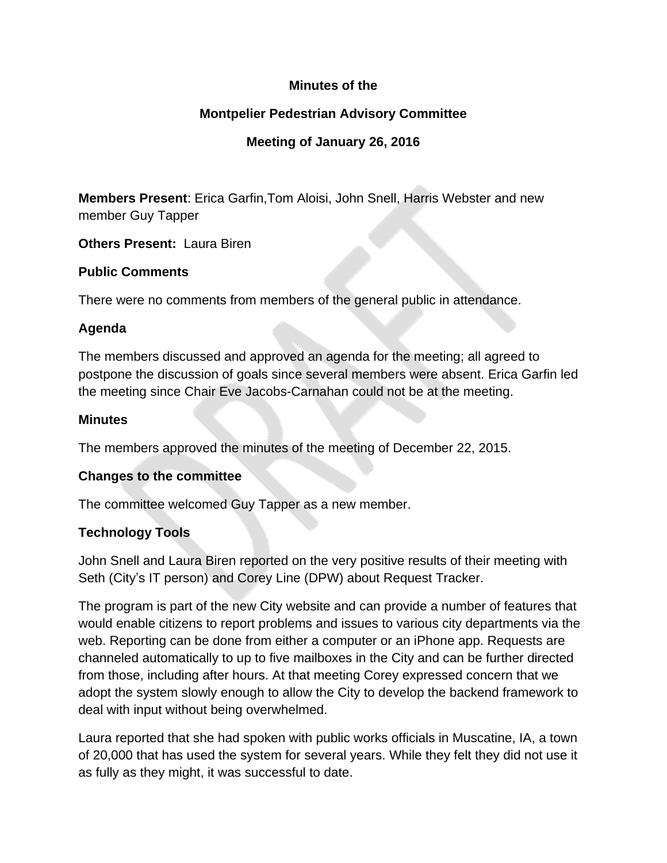### **Minutes of the**

### **Montpelier Pedestrian Advisory Committee**

## **Meeting of January 26, 2016**

**Members Present**: Erica Garfin,Tom Aloisi, John Snell, Harris Webster and new member Guy Tapper

**Others Present:** Laura Biren

#### **Public Comments**

There were no comments from members of the general public in attendance.

#### **Agenda**

The members discussed and approved an agenda for the meeting; all agreed to postpone the discussion of goals since several members were absent. Erica Garfin led the meeting since Chair Eve Jacobs-Carnahan could not be at the meeting.

#### **Minutes**

The members approved the minutes of the meeting of December 22, 2015.

#### **Changes to the committee**

The committee welcomed Guy Tapper as a new member.

### **Technology Tools**

John Snell and Laura Biren reported on the very positive results of their meeting with Seth (City's IT person) and Corey Line (DPW) about Request Tracker.

The program is part of the new City website and can provide a number of features that would enable citizens to report problems and issues to various city departments via the web. Reporting can be done from either a computer or an iPhone app. Requests are channeled automatically to up to five mailboxes in the City and can be further directed from those, including after hours. At that meeting Corey expressed concern that we adopt the system slowly enough to allow the City to develop the backend framework to deal with input without being overwhelmed.

Laura reported that she had spoken with public works officials in Muscatine, IA, a town of 20,000 that has used the system for several years. While they felt they did not use it as fully as they might, it was successful to date.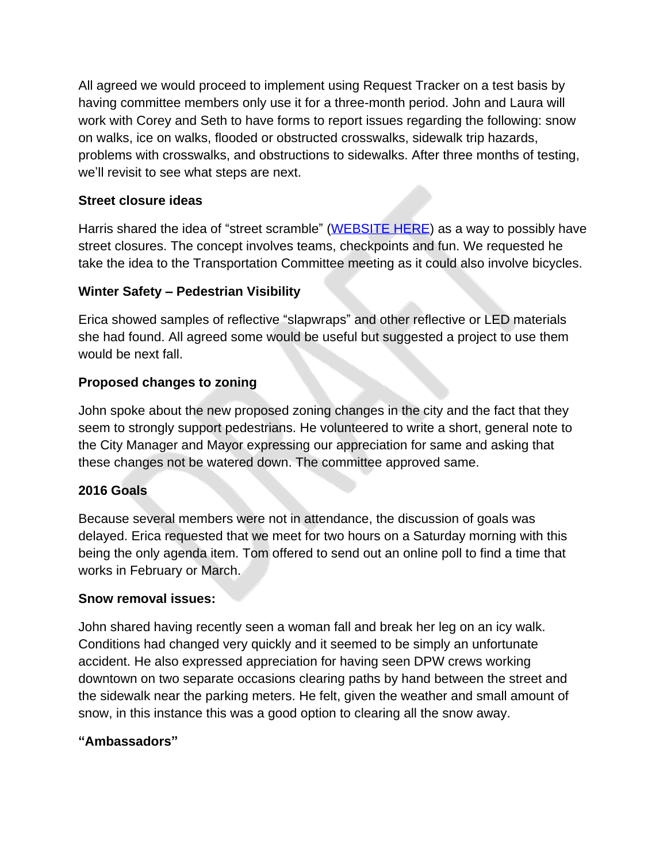All agreed we would proceed to implement using Request Tracker on a test basis by having committee members only use it for a three-month period. John and Laura will work with Corey and Seth to have forms to report issues regarding the following: snow on walks, ice on walks, flooded or obstructed crosswalks, sidewalk trip hazards, problems with crosswalks, and obstructions to sidewalks. After three months of testing, we'll revisit to see what steps are next.

## **Street closure ideas**

Harris shared the idea of "street scramble" [\(WEBSITE HERE\)](http://streetscramble.com) as a way to possibly have street closures. The concept involves teams, checkpoints and fun. We requested he take the idea to the Transportation Committee meeting as it could also involve bicycles.

# **Winter Safety – Pedestrian Visibility**

Erica showed samples of reflective "slapwraps" and other reflective or LED materials she had found. All agreed some would be useful but suggested a project to use them would be next fall.

# **Proposed changes to zoning**

John spoke about the new proposed zoning changes in the city and the fact that they seem to strongly support pedestrians. He volunteered to write a short, general note to the City Manager and Mayor expressing our appreciation for same and asking that these changes not be watered down. The committee approved same.

# **2016 Goals**

Because several members were not in attendance, the discussion of goals was delayed. Erica requested that we meet for two hours on a Saturday morning with this being the only agenda item. Tom offered to send out an online poll to find a time that works in February or March.

### **Snow removal issues:**

John shared having recently seen a woman fall and break her leg on an icy walk. Conditions had changed very quickly and it seemed to be simply an unfortunate accident. He also expressed appreciation for having seen DPW crews working downtown on two separate occasions clearing paths by hand between the street and the sidewalk near the parking meters. He felt, given the weather and small amount of snow, in this instance this was a good option to clearing all the snow away.

### **"Ambassadors"**